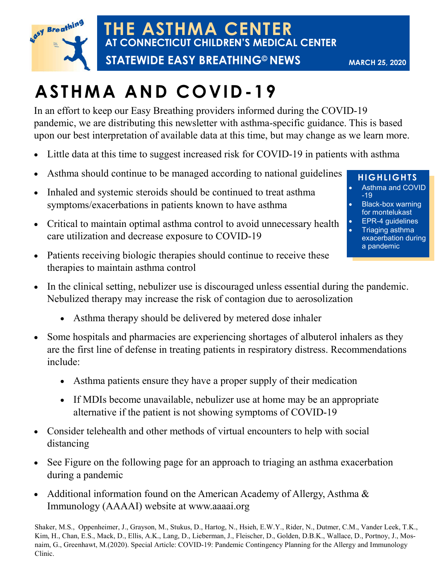

**THE ASTHMA CENTER AT CONNECTICUT CHILDREN'S MEDICAL CENTER**

 **STATEWIDE EASY BREATHING© NEWS**

**MARCH 25, 2020**

# **ASTHMA AND COVID-19**

In an effort to keep our Easy Breathing providers informed during the COVID-19 pandemic, we are distributing this newsletter with asthma-specific guidance. This is based upon our best interpretation of available data at this time, but may change as we learn more.

- Little data at this time to suggest increased risk for COVID-19 in patients with asthma
- Asthma should continue to be managed according to national guidelines
- Inhaled and systemic steroids should be continued to treat asthma symptoms/exacerbations in patients known to have asthma
- Critical to maintain optimal asthma control to avoid unnecessary health care utilization and decrease exposure to COVID-19
- Patients receiving biologic therapies should continue to receive these therapies to maintain asthma control
- In the clinical setting, nebulizer use is discouraged unless essential during the pandemic. Nebulized therapy may increase the risk of contagion due to aerosolization
	- Asthma therapy should be delivered by metered dose inhaler
- Some hospitals and pharmacies are experiencing shortages of albuterol inhalers as they are the first line of defense in treating patients in respiratory distress. Recommendations include:
	- Asthma patients ensure they have a proper supply of their medication
	- If MDIs become unavailable, nebulizer use at home may be an appropriate alternative if the patient is not showing symptoms of COVID-19
- Consider telehealth and other methods of virtual encounters to help with social distancing
- See Figure on the following page for an approach to triaging an asthma exacerbation during a pandemic
- Additional information found on the American Academy of Allergy, Asthma & Immunology (AAAAI) website at www.aaaai.org

Shaker, M.S., Oppenheimer, J., Grayson, M., Stukus, D., Hartog, N., Hsieh, E.W.Y., Rider, N., Dutmer, C.M., Vander Leek, T.K., Kim, H., Chan, E.S., Mack, D., Ellis, A.K., Lang, D., Lieberman, J., Fleischer, D., Golden, D.B.K., Wallace, D., Portnoy, J., Mosnaim, G., Greenhawt, M.(2020). Special Article: COVID-19: Pandemic Contingency Planning for the Allergy and Immunology Clinic.

## **HIGHLIGHTS**

- Asthma and COVID -19
- Black-box warning for montelukast
- EPR-4 guidelines
- Triaging asthma exacerbation during a pandemic